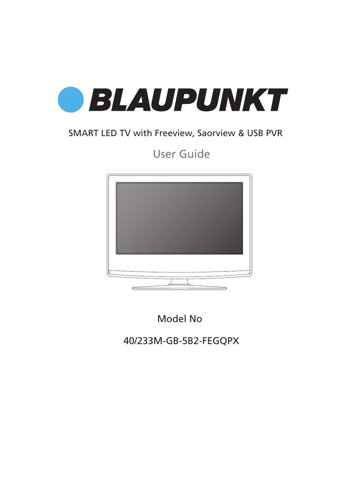

## SMART LED TV with Freeview, Saorview & USB PVR

## User Guide



Model No

40/233M-GB-5B2-FEGQPX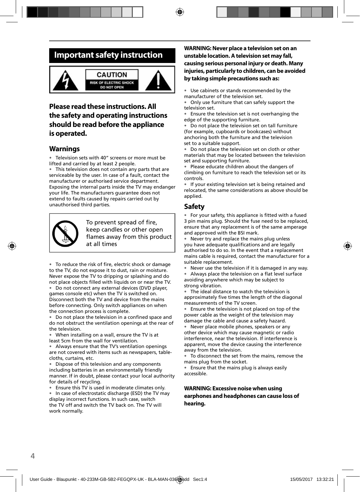## **Important safety instruction**



### **CAUTION SK OF ELECTRIC SHOCK DO NOT OPEN**



### **Please read these instructions. All the safety and operating instructions should be read before the appliance is operated.**

### **Warnings**

• Television sets with 40" screens or more must be lifted and carried by at least 2 people.

This television does not contain any parts that are serviceable by the user. In case of a fault, contact the manufacturer or authorised service department. Exposing the internal parts inside the TV may endanger your life. The manufacturers guarantee does not extend to faults caused by repairs carried out by unauthorised third parties.



To prevent spread of fire, keep candles or other open flames away from this product at all times

• To reduce the risk of fire, electric shock or damage to the TV, do not expose it to dust, rain or moisture. Never expose the TV to dripping or splashing and do not place objects filled with liquids on or near the TV.

• Do not connect any external devices (DVD player, games console etc) when the TV is switched on. Disconnect both the TV and device from the mains before connecting. Only switch appliances on when the connection process is complete.

Do not place the television in a confined space and do not obstruct the ventilation openings at the rear of the television.

• When installing on a wall, ensure the TV is at least 5cm from the wall for ventilation.

• Always ensure that the TV's ventilation openings are not covered with items such as newspapers, tablecloths, curtains, etc.

Dispose of this television and any components including batteries in an environmentally friendly manner. If in doubt, please contact your local authority for details of recycling.

• Ensure this TV is used in moderate climates only.

• In case of electrostatic discharge (ESD) the TV may display incorrect functions. In such case, switch the TV off and switch the TV back on. The TV will work normally.

### **WARNING: Never place a television set on an unstable location. A television set may fall, causing serious personal injury or death. Many injuries, particularly to children, can be avoided by taking simple precautions such as:**

Use cabinets or stands recommended by the manufacturer of the television set.

• Only use furniture that can safely support the television set.

• Ensure the television set is not overhanging the edge of the supporting furniture.

Do not place the television set on tall furniture (for example, cupboards or bookcases) without anchoring both the furniture and the television set to a suitable support.

• Do not place the television set on cloth or other materials that may be located between the television set and supporting furniture.

• Please educate children about the dangers of climbing on furniture to reach the television set or its controls.

• If your existing television set is being retained and relocated, the same considerations as above should be applied.

### **Safety**

• For your safety, this appliance is fitted with a fused 3 pin mains plug. Should the fuse need to be replaced, ensure that any replacement is of the same amperage and approved with the BSI mark.

• Never try and replace the mains plug unless you have adequate qualifications and are legally authorised to do so. In the event that a replacement mains cable is required, contact the manufacturer for a suitable replacement.

• Never use the television if it is damaged in any way.

Always place the television on a flat level surface avoiding anywhere which may be subject to strong vibration.

• The ideal distance to watch the television is approximately five times the length of the diagonal measurements of the TV screen.

• Ensure the television is not placed on top of the power cable as the weight of the television may damage the cable and cause a safety hazard.

• Never place mobile phones, speakers or any other device which may cause magnetic or radio interference, near the television. If interference is apparent, move the device causing the interference away from the television.

To disconnect the set from the mains, remove the mains plug from the socket.

• Ensure that the mains plug is always easily accessible.

### **WARNING: Excessive noise when using earphones and headphones can cause loss of hearing.**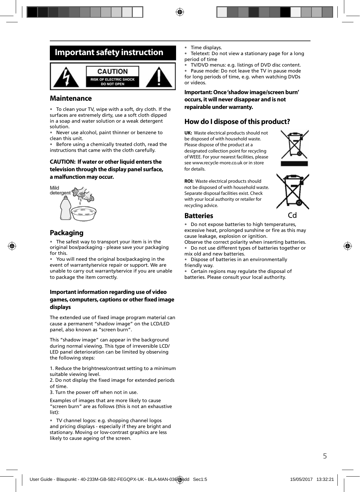## **Important safety instruction**



### **Maintenance**

• To clean your TV, wipe with a soft, dry cloth. If the surfaces are extremely dirty, use a soft cloth dipped in a soap and water solution or a weak detergent solution.

Never use alcohol, paint thinner or benzene to clean this unit.

• Before using a chemically treated cloth, read the instructions that came with the cloth carefully.

### **CAUTION: If water or other liquid enters the television through the display panel surface, a malfunction may occur.**



### **Packaging**

The safest way to transport your item is in the original box/packaging - please save your packaging for this.

• You will need the original box/packaging in the event of warranty/service repair or support. We are unable to carry out warranty/service if you are unable to package the item correctly.

### **Important information regarding use of video games, computers, captions or other fi xed image displays**

The extended use of fixed image program material can cause a permanent "shadow image" on the LCD/LED panel, also known as "screen burn".

This "shadow image" can appear in the background during normal viewing. This type of irreversible LCD/ LED panel deterioration can be limited by observing the following steps:

1. Reduce the brightness/contrast setting to a minimum suitable viewing level.

2. Do not display the fixed image for extended periods of time.

3. Turn the power off when not in use.

Examples of images that are more likely to cause "screen burn" are as follows (this is not an exhaustive list):

• TV channel logos: e.g. shopping channel logos and pricing displays - especially if they are bright and stationary. Moving or low-contrast graphics are less likely to cause ageing of the screen.

• Time displays.

Teletext: Do not view a stationary page for a long period of time

• TV/DVD menus: e.g. listings of DVD disc content.

• Pause mode: Do not leave the TV in pause mode for long periods of time, e.g. when watching DVDs or videos.

**Important: Once 'shadow image/screen burn' occurs, it will never disappear and is not repairable under warranty.**

### **How do I dispose of this product?**

**UK:** Waste electrical products should not be disposed of with household waste. Please dispose of the product at a designated collection point for recycling of WEEE. For your nearest facilities, please see www.recycle-more.co.uk or in store for details.



**ROI:** Waste electrical products should not be disposed of with household waste. Separate disposal facilities exist. Check with your local authority or retailer for recycling advice.



### **Batteries**

• Do not expose batteries to high temperatures, excessive heat, prolonged sunshine or fire as this may cause leakage, explosion or ignition.

Observe the correct polarity when inserting batteries. • Do not use different types of batteries together or mix old and new batteries.

• Dispose of batteries in an environmentally friendly way.

• Certain regions may regulate the disposal of batteries. Please consult your local authority.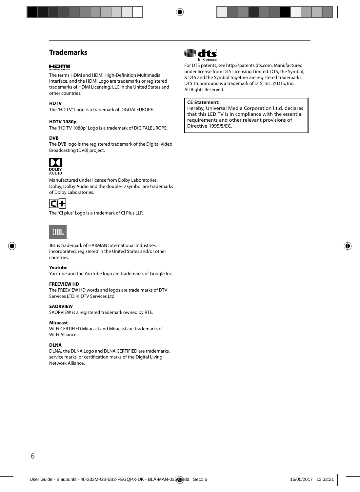## **Trademarks**

### HOMI

The terms HDMI and HDMI High-Definition Multimedia Interface, and the HDMI Logo are trademarks or registered trademarks of HDMI Licensing, LLC in the United States and other countries.

#### **HDTV**

The "HD TV" Logo is a trademark of DIGITALEUROPE.

#### **HDTV 1080p**

The "HD TV 1080p" Logo is a trademark of DIGITALEUROPE.

#### **DVB**

The DVB logo is the registered trademark of the Digital Video Broadcasting (DVB) project.



**DOLBY**<br>AUDIO

Manufactured under license from Dolby Laboratories. Dolby, Dolby Audio and the double-D symbol are trademarks of Dolby Laboratories.



The "CI plus" Logo is a trademark of CI Plus LLP.



JBL is trademark of HARMAN International Industries, Incorporated, registered in the United States and/or other countries.

#### **Youtube**

YouTube and the YouTube logo are trademarks of Google Inc.

#### **FREEVIEW HD**

The FREEVIEW HD words and logos are trade marks of DTV Services LTD. © DTV Services Ltd.

#### **SAORVIEW**

SAORVIEW is a registered trademark owned by RTÉ.

#### **Miracast**

Wi-Fi CERTIFIED Miracast and Miracast are trademarks of Wi-Fi Alliance.

#### **DLNA**

DLNA, the DLNA Logo and DLNA CERTIFIED are trademarks, service marks, or certification marks of the Digital Living Network Alliance.



For DTS patents, see http://patents.dts.com. Manufactured under license from DTS Licensing Limited. DTS, the Symbol, & DTS and the Symbol together are registered trademarks. DTS TruSurround is a trademark of DTS, Inc. © DTS, Inc. All Rights Reserved.

#### **CE Statement:**

Hereby, Universal Media Corporation l.t.d. declares that this LED TV is in compliance with the essential requirements and other relevant provisions of Directive 1999/5/EC.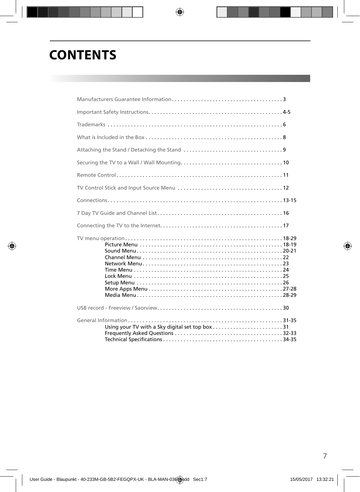# **CONTENTS**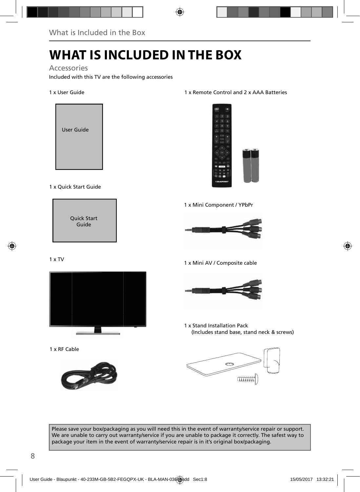# **WHAT IS INCLUDED IN THE BOX**

Accessories

Included with this TV are the following accessories

### 1 x User Guide



### 1 x Quick Start Guide



### 1 x TV



1 x RF Cable



### 1 x Remote Control and 2 x AAA Batteries



1 x Mini Component / YPbPr



1 x Mini AV / Composite cable



1 x Stand Installation Pack (Includes stand base, stand neck & screws)



Please save your box/packaging as you will need this in the event of warranty/service repair or support. We are unable to carry out warranty/service if you are unable to package it correctly. The safest way to package your item in the event of warranty/service repair is in it's original box/packaging.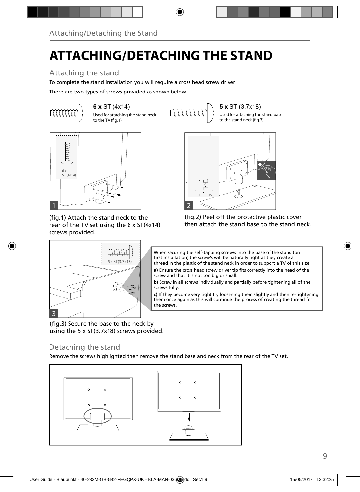# **ATTACHING/DETACHING THE STAND**

## Attaching the stand

To complete the stand installation you will require a cross head screw driver

There are two types of screws provided as shown below.



**6 x** ST (4x14) **5 x** ST (3.7x18) Used for attaching the stand neck to the TV (fig.1)

Used for attaching the stand base to the stand neck (fig.3)



(fig.1) Attach the stand neck to the rear of the TV set using the 6 x ST(4x14) screws provided.







When securing the self-tapping screw/s into the base of the stand (on first installation) the screw/s will be naturally tight as they create a thread in the plastic of the stand neck in order to support a TV of this size.

**a)** Ensure the cross head screw driver tip fits correctly into the head of the screw and that it is not too big or small.

**b)** Screw in all screws individually and partially before tightening all of the screws fully.

**c)** If they become very tight try loosening them slightly and then re-tightening them once again as this will continue the process of creating the thread for the screws.

(fig.3) Secure the base to the neck by using the 5 x ST(3.7x18) screws provided.

### Detaching the stand

Remove the screws highlighted then remove the stand base and neck from the rear of the TV set.

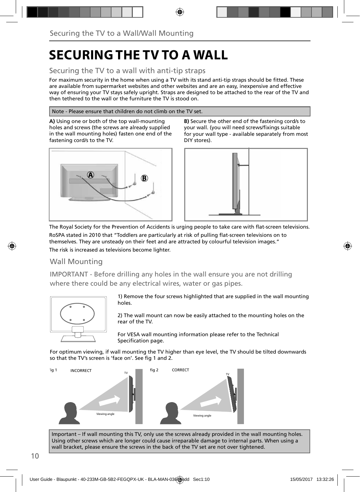# **SECURING THE TV TO A WALL**

### Securing the TV to a wall with anti-tip straps

For maximum security in the home when using a TV with its stand anti-tip straps should be fitted. These are available from supermarket websites and other websites and are an easy, inexpensive and effective way of ensuring your TV stays safely upright. Straps are designed to be attached to the rear of the TV and then tethered to the wall or the furniture the TV is stood on.

### Note - Please ensure that children do not climb on the TV set.

**A)** Using one or both of the top wall-mounting holes and screws (the screws are already supplied in the wall mounting holes) fasten one end of the fastening cord/s to the TV.



**B)** Secure the other end of the fastening cord/s to your wall. (you will need screws/fixings suitable for your wall type - available separately from most DIY stores).



The Royal Society for the Prevention of Accidents is urging people to take care with flat-screen televisions. RoSPA stated in 2010 that "Toddlers are particularly at risk of pulling flat-screen televisions on to themselves. They are unsteady on their feet and are attracted by colourful television images." The risk is increased as televisions become lighter.

### Wall Mounting

IMPORTANT - Before drilling any holes in the wall ensure you are not drilling where there could be any electrical wires, water or gas pipes.



1) Remove the four screws highlighted that are supplied in the wall mounting holes.

2) The wall mount can now be easily attached to the mounting holes on the rear of the TV.

For VESA wall mounting information please refer to the Technical Specification page.

For optimum viewing, if wall mounting the TV higher than eye level, the TV should be tilted downwards so that the TV's screen is 'face on'. See fig 1 and 2.



Important – If wall mounting this TV, only use the screws already provided in the wall mounting holes. Using other screws which are longer could cause irreparable damage to internal parts. When using a wall bracket, please ensure the screws in the back of the TV set are not over tightened.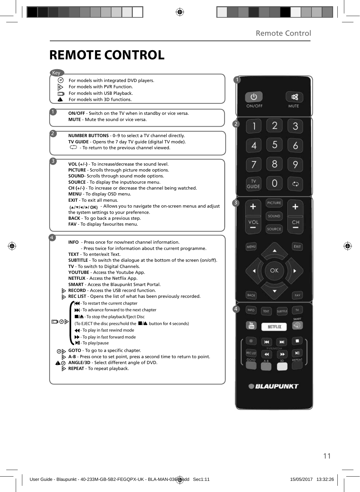# **REMOTE CONTROL**

| Key            |                                                                                                                                          |                |               |                         |        |
|----------------|------------------------------------------------------------------------------------------------------------------------------------------|----------------|---------------|-------------------------|--------|
| ⊙)             | For models with integrated DVD players.                                                                                                  |                |               |                         |        |
| D.             | For models with PVR Function.                                                                                                            |                |               |                         |        |
|                | For models with USB Playback.                                                                                                            |                |               |                         |        |
| A              | For models with 3D functions.                                                                                                            |                | ಲ             |                         |        |
|                |                                                                                                                                          |                | ON/OFF        |                         | MUTE   |
|                | ON/OFF - Switch on the TV when in standby or vice versa.                                                                                 |                |               |                         |        |
|                | <b>MUTE</b> - Mute the sound or vice versa.                                                                                              | $\overline{2}$ |               | 2                       | 3      |
|                |                                                                                                                                          |                |               |                         |        |
|                | NUMBER BUTTONS - 0-9 to select a TV channel directly.                                                                                    |                |               |                         |        |
|                | TV GUIDE - Opens the 7 day TV guide (digital TV mode).                                                                                   |                | 4             | 5                       | 6      |
|                | $\mathbb{C}$ - To return to the previous channel viewed.                                                                                 |                |               |                         |        |
| $\overline{3}$ |                                                                                                                                          |                |               |                         |        |
|                | VOL $(+/-)$ - To increase/decrease the sound level.                                                                                      |                |               | 8                       | 9      |
|                | PICTURE - Scrolls through picture mode options.                                                                                          |                |               |                         |        |
|                | <b>SOUND-</b> Scrolls through sound mode options.<br><b>SOURCE</b> - To display the input/source menu.                                   |                | TV            |                         |        |
|                | $CH (+/-)$ - To increase or decrease the channel being watched.                                                                          |                | <b>GUIDE</b>  |                         | ج      |
|                | MENU - To display OSD menu.                                                                                                              |                |               |                         |        |
|                | <b>EXIT</b> - To exit all menus.                                                                                                         | $\overline{3}$ |               | <b>PICTURE</b>          |        |
|                | $(A \mathbf{v} A )$ OK) - Allows you to navigate the on-screen menus and adjust                                                          |                |               |                         |        |
|                | the system settings to your preference.                                                                                                  |                |               | SOUND                   |        |
|                | <b>BACK</b> - To go back a previous step.                                                                                                |                | VOL           |                         | CН     |
|                | FAV - To display favourites menu.                                                                                                        |                |               | SOURCE                  |        |
|                |                                                                                                                                          |                |               |                         |        |
|                | <b>INFO</b> - Press once for now/next channel information.                                                                               |                |               |                         | EXIT   |
|                | - Press twice for information about the current programme.                                                                               |                | MENU          | ,                       |        |
|                | TEXT - To enter/exit Text.                                                                                                               |                |               |                         |        |
|                | <b>SUBTITLE</b> - To switch the dialogue at the bottom of the screen (on/off).<br>TV - To switch to Digital Channels.                    |                |               |                         |        |
|                | YOUTUBE - Access the Youtube App.                                                                                                        |                |               | OK                      |        |
|                | NETFLIX - Access the Netflix App.                                                                                                        |                |               |                         |        |
|                | <b>SMART</b> - Access the Blaupunkt Smart Portal.                                                                                        |                |               |                         |        |
|                | RECORD - Access the USB record function.                                                                                                 |                |               |                         |        |
|                | REC LIST - Opens the list of what has been previously recorded.                                                                          |                | BACK          |                         | FAV    |
|                | Hel-To restart the current chapter                                                                                                       |                |               |                         |        |
|                | >> - To advance forward to the next chapter                                                                                              | 4              | <b>INFO</b>   | TEXT<br><b>SUBTITLE</b> | W      |
| య⊜⊏            | $\Box$ / $\triangle$ - To stop the playback/Eject Disc                                                                                   |                |               |                         | SMART  |
|                | (To EJECT the disc press/hold the ■▲ button for 4 seconds)                                                                               |                |               | NETFLIX                 | 西部     |
|                | 44 - To play in fast rewind mode                                                                                                         |                |               |                         |        |
|                | > - To play in fast forward mode                                                                                                         |                |               | н<br>ш                  | □      |
|                | MI-To play/pause                                                                                                                         |                |               |                         |        |
|                | ⊙ <b>GOTO</b> - To go to a specific chapter.                                                                                             |                | <b>RECUST</b> | $\blacksquare$<br>H     | Ы      |
|                | $\triangleright$ A-B - Press once to set point, press a second time to return to point.<br>A @ ANGLE/3D - Select different angle of DVD. |                | GOTO          | 3D<br>$A - B$           | REPEAT |
|                | $\triangleright$ REPEAT - To repeat playback.                                                                                            |                |               |                         |        |
|                |                                                                                                                                          |                |               |                         |        |
|                |                                                                                                                                          |                |               |                         |        |
|                |                                                                                                                                          |                |               | <b>© BLAUPUNKT</b>      |        |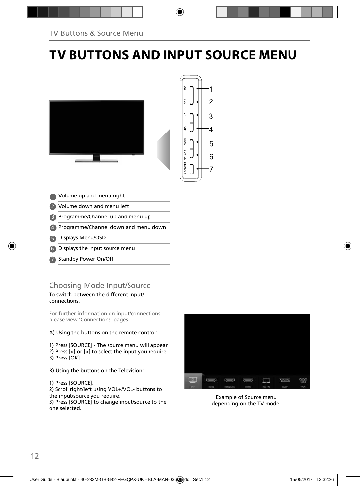# **TV BUTTONS AND INPUT SOURCE MENU**



- Volume up and menu right 1
- 2 Volume down and menu left
- Programme/Channel up and menu up 3
- Programme/Channel down and menu down 4
- Displays Menu/OSD 5
- Displays the input source menu 6
- Standby Power On/Off 7

## Choosing Mode Input/Source

To switch between the different input/ connections.

For further information on input/connections please view 'Connections' pages.

A) Using the buttons on the remote control:

1) Press [SOURCE] - The source menu will appear. 2) Press  $\left[\langle \cdot \right]$  or  $\left[\rangle \right]$  to select the input you require. 3) Press [OK].

B) Using the buttons on the Television:

1) Press [SOURCE].

2) Scroll right/left using VOL+/VOL- buttons to the input/source you require.

3) Press [SOURCE] to change input/source to the one selected.



Example of Source menu depending on the TV model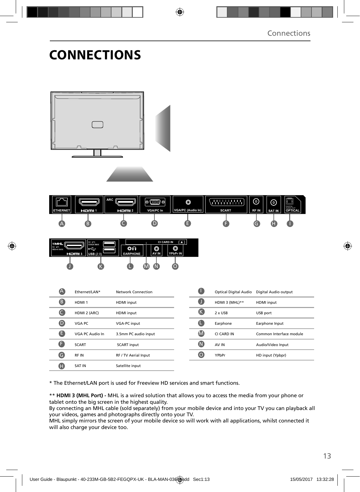# **CONNECTIONS**







| A                | Ethernet/LAN*     | Network Connection   |          |
|------------------|-------------------|----------------------|----------|
| B                | HDMI <sub>1</sub> | <b>HDMI</b> input    |          |
| C                | HDMI 2 (ARC)      | HDMI input           |          |
| $\mathbf \Omega$ | VGA PC            | <b>VGA-PC input</b>  |          |
| ê                | VGA PC Audio In   | 3.5mm PC audio input | M        |
| œ                | <b>SCART</b>      | <b>SCART</b> input   | N)       |
| G                | RF IN             | RF / TV Aerial Input | <b>O</b> |
| H                | <b>SAT IN</b>     | Satellite input      |          |
|                  |                   |                      |          |

|    | Optical Digital Audio | Digital Audio output    |
|----|-----------------------|-------------------------|
|    | HDMI 3 (MHL)**        | <b>HDMI</b> input       |
| K. | $2 \times$ USB        | USB port                |
| ш  | Earphone              | Earphone Input          |
|    | CI CARD IN            | Common Interface module |
|    | AV IN                 | Audio/Video Input       |
|    | YPbPr                 | HD input (Ypbpr)        |
|    |                       |                         |

\* The Ethernet/LAN port is used for Freeview HD services and smart functions.

\*\* **HDMI 3 (MHL Port) -** MHL is a wired solution that allows you to access the media from your phone or tablet onto the big screen in the highest quality.

By connecting an MHL cable (sold separately) from your mobile device and into your TV you can playback all your videos, games and photographs directly onto your TV.

MHL simply mirrors the screen of your mobile device so will work with all applications, whilst connected it will also charge your device too.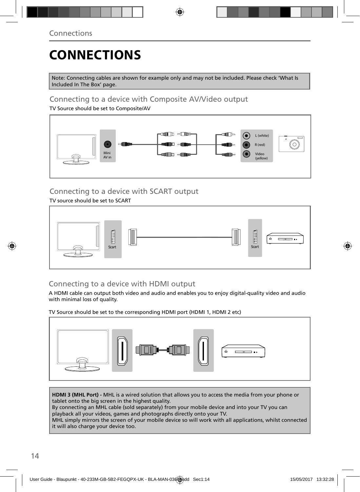# **CONNECTIONS**

Note: Connecting cables are shown for example only and may not be included. Please check 'What Is Included In The Box' page.

## Connecting to a device with Composite AV/Video output

TV Source should be set to Composite/AV



## Connecting to a device with SCART output

### TV source should be set to SCART



## Connecting to a device with HDMI output

A HDMI cable can output both video and audio and enables you to enjoy digital-quality video and audio with minimal loss of quality.

TV Source should be set to the corresponding HDMI port (HDMI 1, HDMI 2 etc)



**HDMI 3 (MHL Port) -** MHL is a wired solution that allows you to access the media from your phone or tablet onto the big screen in the highest quality.

By connecting an MHL cable (sold separately) from your mobile device and into your TV you can playback all your videos, games and photographs directly onto your TV.

MHL simply mirrors the screen of your mobile device so will work with all applications, whilst connected it will also charge your device too.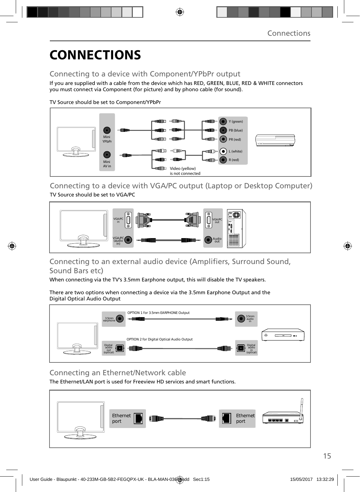# **CONNECTIONS**

## Connecting to a device with Component/YPbPr output

If you are supplied with a cable from the device which has RED, GREEN, BLUE, RED & WHITE connectors you must connect via Component (for picture) and by phono cable (for sound).

TV Source should be set to Component/YPbPr



Connecting to a device with VGA/PC output (Laptop or Desktop Computer) TV Source should be set to VGA/PC



### Connecting to an external audio device (Amplifiers, Surround Sound, Sound Bars etc)

When connecting via the TV's 3.5mm Earphone output, this will disable the TV speakers.

There are two options when connecting a device via the 3.5mm Earphone Output and the Digital Optical Audio Output



Connecting an Ethernet/Network cable

The Ethernet/LAN port is used for Freeview HD services and smart functions.

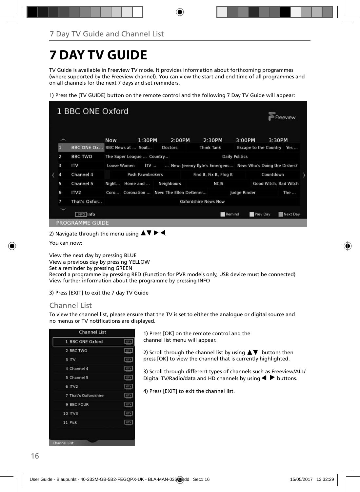# **7 DAY TV GUIDE**

TV Guide is available in Freeview TV mode. It provides information about forthcoming programmes (where supported by the Freeview channel). You can view the start and end time of all programmes and on all channels for the next 7 days and set reminders.

1) Press the [TV GUIDE] button on the remote control and the following 7 Day TV Guide will appear:



2) Navigate through the menu using  $\blacktriangle \blacktriangledown \blacktriangleright \blacktriangleleft$ .

You can now:

View the next day by pressing BLUE View a previous day by pressing YELLOW Set a reminder by pressing GREEN Record a programme by pressing RED (Function for PVR models only, USB device must be connected) View further information about the programme by pressing INFO

3) Press [EXIT] to exit the 7 day TV Guide

### Channel List

To view the channel list, please ensure that the TV is set to either the analogue or digital source and no menus or TV notifications are displayed.

| 1 BBC ONE Oxford     | DIV  |
|----------------------|------|
| 2 BBC TWO            | DTV  |
| 3 ITV                | ory  |
| 4 Channel 4          | DIV. |
| 5 Channel 5          | DTV  |
| 6 ITV2               | DIV  |
| 7 That's Oxfordshire | DTV  |
| 9 BBC FOUR           | DIV  |
| 10 ITV3              | DIV  |
| 11 Pick              | DTV  |

1) Press [OK] on the remote control and the channel list menu will appear.

2) Scroll through the channel list by using  $\blacktriangle \blacktriangledown$  buttons then press [OK] to view the channel that is currently highlighted.

3) Scroll through different types of channels such as Freeview/ALL/ Digital TV/Radio/data and HD channels by using  $\blacklozenge \blacktriangleright$  buttons.

4) Press [EXIT] to exit the channel list.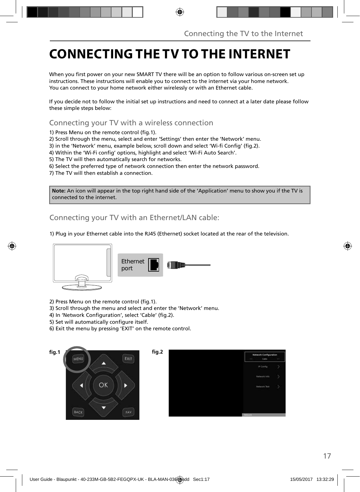# **CONNECTING THE TV TO THE INTERNET**

When you first power on your new SMART TV there will be an option to follow various on-screen set up instructions. These instructions will enable you to connect to the internet via your home network. You can connect to your home network either wirelessly or with an Ethernet cable.

If you decide not to follow the initial set up instructions and need to connect at a later date please follow these simple steps below:

Connecting your TV with a wireless connection

1) Press Menu on the remote control (fig. 1).

2) Scroll through the menu, select and enter 'Settings' then enter the 'Network' menu.

3) in the 'Network' menu, example below, scroll down and select 'Wi-fi Config' (fig.2).

4) Within the 'Wi-Fi config' options, highlight and select 'Wi-Fi Auto Search'.

5) The TV will then automatically search for networks.

6) Select the preferred type of network connection then enter the network password.

7) The TV will then establish a connection.

**Note:** An icon will appear in the top right hand side of the 'Application' menu to show you if the TV is connected to the internet.

Connecting your TV with an Ethernet/LAN cable:

1) Plug in your Ethernet cable into the RJ45 (Ethernet) socket located at the rear of the television.



2) Press Menu on the remote control (fig.1).

3) Scroll through the menu and select and enter the 'Network' menu.

- 4) In 'Network Configuration', select 'Cable' (fig.2).
- 5) Set will automatically configure itself.
- 6) Exit the menu by pressing 'EXIT' on the remote control.

EXIT



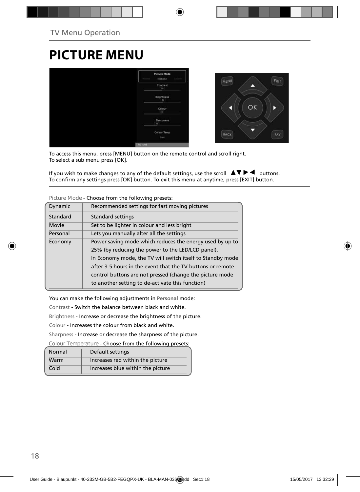# **PICTURE MENU**



To access this menu, press [MENU] button on the remote control and scroll right. To select a sub menu press [OK].

If you wish to make changes to any of the default settings, use the scroll  $\Box \blacktriangledown \blacktriangleright \blacktriangleleft$  buttons. To confirm any settings press [OK] button. To exit this menu at anytime, press [EXIT] button.

| <b>Dynamic</b> | Recommended settings for fast moving pictures              |  |
|----------------|------------------------------------------------------------|--|
| Standard       | <b>Standard settings</b>                                   |  |
| Movie          | Set to be lighter in colour and less bright                |  |
| Personal       | Lets you manually alter all the settings                   |  |
| Economy        | Power saving mode which reduces the energy used by up to   |  |
|                | 25% (by reducing the power to the LED/LCD panel).          |  |
|                | In Economy mode, the TV will switch itself to Standby mode |  |
|                | after 3-5 hours in the event that the TV buttons or remote |  |
|                | control buttons are not pressed (change the picture mode   |  |
|                | to another setting to de-activate this function)           |  |
|                |                                                            |  |

**Picture Mode** - Choose from the following presets:

You can make the following adjustments in **Personal** mode:

Contrast - Switch the balance between black and white.

Brightness - Increase or decrease the brightness of the picture.

Colour - Increases the colour from black and white.

Sharpness - Increase or decrease the sharpness of the picture.

**Colour Temperature** - Choose from the following presets:

| Normal | Default settings                  |
|--------|-----------------------------------|
| Warm   | Increases red within the picture  |
| Cold   | Increases blue within the picture |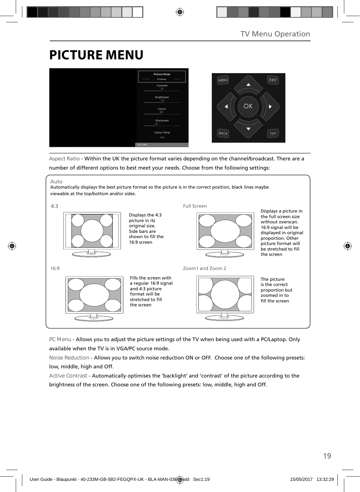# **PICTURE MENU**



Aspect Ratio - Within the UK the picture format varies depending on the channel/broadcast. There are a number of different options to best meet your needs. Choose from the following settings:



**PC Menu** - Allows you to adjust the picture settings of the TV when being used with a PC/Laptop. Only available when the TV is in VGA/PC source mode.

**Noise Reduction** - Allows you to switch noise reduction ON or OFF. Choose one of the following presets: low, middle, high and Off.

**Active Contrast** - Automatically optimises the 'backlight' and 'contrast' of the picture according to the brightness of the screen. Choose one of the following presets: low, middle, high and Off.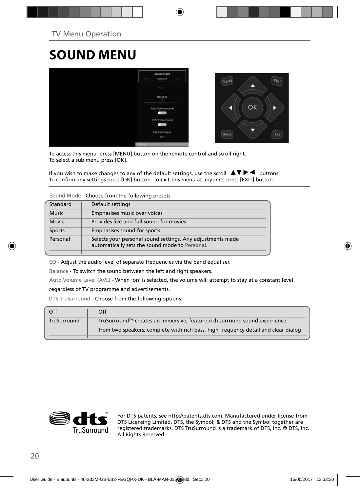## **SOUND MENU**



To access this menu, press [MENU] button on the remote control and scroll right. To select a sub menu press [OK].

If you wish to make changes to any of the default settings, use the scroll  $\Box \blacktriangledown \blacktriangleright \blacktriangleleft$  buttons. To confirm any settings press [OK] button. To exit this menu at anytime, press [EXIT] button.

**Sound Mode** - Choose from the following presets

| Standard     | Default settings                                                                                             |
|--------------|--------------------------------------------------------------------------------------------------------------|
| <b>Music</b> | Emphasises music over voices                                                                                 |
| Movie        | Provides live and full sound for movies                                                                      |
| Sports       | Emphasises sound for sports                                                                                  |
| Personal     | Selects your personal sound settings. Any adjustments made<br>automatically sets the sound mode to Personal. |

EQ - Adjust the audio level of separate frequencies via the band equaliser.

Balance - To switch the sound between the left and right speakers.

Auto Volume Level (AVL) - When 'on' is selected, the volume will attempt to stay at a constant level regardless of TV programme and advertisements.

DTS TruSurround - Choose from the following options:

| Off         | Off                                                                                |
|-------------|------------------------------------------------------------------------------------|
| TruSurround | TruSurround™ creates an immersive, feature-rich surround sound experience          |
|             | from two speakers, complete with rich bass, high frequency detail and clear dialog |
|             |                                                                                    |



For DTS patents, see http://patents.dts.com. Manufactured under license from DTS Licensing Limited. DTS, the Symbol, & DTS and the Symbol together are registered trademarks. DTS TruSurround is a trademark of DTS, Inc. © DTS, Inc. All Rights Reserved.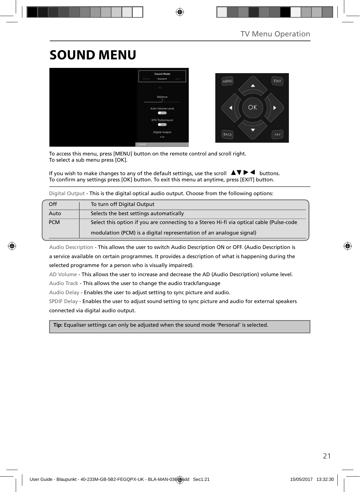# **SOUND MENU**



To access this menu, press [MENU] button on the remote control and scroll right. To select a sub menu press [OK].

If you wish to make changes to any of the default settings, use the scroll  $\Box \blacktriangledown \blacktriangleright \blacktriangleleft$  buttons. To confirm any settings press [OK] button. To exit this menu at anytime, press [EXIT] button.

Digital Output - This is the digital optical audio output. Choose from the following options:

| Off        | To turn off Digital Output                                                               |
|------------|------------------------------------------------------------------------------------------|
| Auto       | Selects the best settings automatically                                                  |
| <b>PCM</b> | Select this option if you are connecting to a Stereo Hi-fi via optical cable (Pulse-code |
|            | modulation (PCM) is a digital representation of an analogue signal)                      |

Audio Description - This allows the user to switch Audio Description ON or OFF. (Audio Description is a service available on certain programmes. It provides a description of what is happening during the selected programme for a person who is visually impaired).

AD Volume - This allows the user to increase and decrease the AD (Audio Description) volume level.

Audio Track - This allows the user to change the audio track/language

Audio Delay - Enables the user to adjust setting to sync picture and audio.

SPDIF Delay - Enables the user to adjust sound setting to sync picture and audio for external speakers connected via digital audio output.

 **Tip:** Equaliser settings can only be adjusted when the sound mode 'Personal' is selected.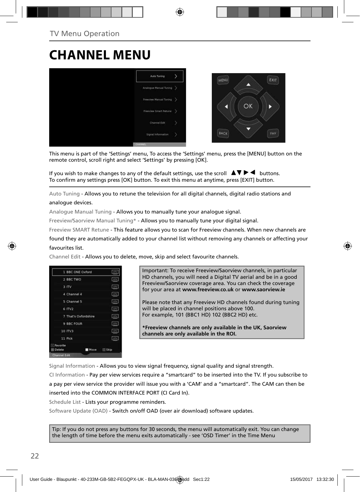## **CHANNEL MENU**



This menu is part of the 'Settings' menu, To access the 'Settings' menu, press the [MENU] button on the remote control, scroll right and select 'Settings' by pressing [OK].

If you wish to make changes to any of the default settings, use the scroll  $\Delta \nabla \blacktriangleright$   $\blacktriangleleft$  buttons. To confirm any settings press [OK] button. To exit this menu at anytime, press [EXIT] button.

Auto Tuning - Allows you to retune the television for all digital channels, digital radio stations and analogue devices.

Analogue Manual Tuning - Allows you to manually tune your analogue signal.

Freeview/Saorview Manual Tuning\* - Allows you to manually tune your digital signal.

Freeview SMART Retune - This feature allows you to scan for Freeview channels. When new channels are

found they are automatically added to your channel list without removing any channels or affecting your favourites list.

Channel Edit - Allows you to delete, move, skip and select favourite channels.

|                      | 1 BBC ONE Oxford     | oty         |
|----------------------|----------------------|-------------|
| 2 BBC TWO            |                      | orv         |
| 3 ITV                |                      | <b>CITY</b> |
| 4 Channel 4          |                      | DIV.        |
| 5 Channel 5          |                      | <b>DIV</b>  |
| $6$ ITV <sub>2</sub> |                      | orv.        |
|                      | 7 That's Oxfordshire | otv         |
| 9 BBC FOUR           |                      | orv         |
| 10 ITV3              |                      | otv         |
| 11 Pick              |                      | oty:        |
| Favorite<br>Delete   | Move                 | <b>Skip</b> |
| Channel Edit         |                      |             |

Important: To receive Freeview/Saorview channels, in particular HD channels, you will need a Digital TV aerial and be in a good Freeview/Saorview coverage area. You can check the coverage for your area at **www.freeview.co.uk** or **www.saorview.ie**

Please note that any Freeview HD channels found during tuning will be placed in channel positions above 100. For example, 101 (BBC1 HD) 102 (BBC2 HD) etc.

**\*Freeview channels are only available in the UK, Saorview channels are only available in the ROI.**

Signal Information - Allows you to view signal frequency, signal quality and signal strength.

CI Information - Pay per view services require a "smartcard" to be inserted into the TV. If you subscribe to a pay per view service the provider will issue you with a 'CAM' and a "smartcard". The CAM can then be inserted into the COMMON INTERFACE PORT (CI Card In).

Schedule List - Lists your programme reminders.

Software Update (OAD) - Switch on/off OAD (over air download) software updates.

Tip: If you do not press any buttons for 30 seconds, the menu will automatically exit. You can change the length of time before the menu exits automatically - see 'OSD Timer' in the Time Menu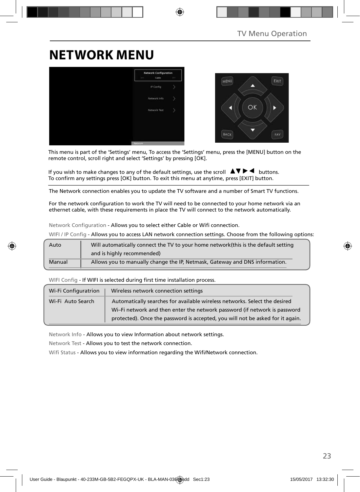# **NETWORK MENU**



This menu is part of the 'Settings' menu, To access the 'Settings' menu, press the [MENU] button on the remote control, scroll right and select 'Settings' by pressing [OK].

If you wish to make changes to any of the default settings, use the scroll  $\Box \blacktriangledown \blacktriangleright \blacktriangleleft$  buttons. To confirm any settings press [OK] button. To exit this menu at anytime, press [EXIT] button.

The Network connection enables you to update the TV software and a number of Smart TV functions.

For the network configuration to work the TV will need to be connected to your home network via an ethernet cable, with these requirements in place the TV will connect to the network automatically.

Network Configuration - Allows you to select either Cable or Wifi connection.

WIFI / IP Config - Allows you to access LAN network connection settings. Choose from the following options:

| Auto   | Will automatically connect the TV to your home network (this is the default setting |
|--------|-------------------------------------------------------------------------------------|
|        | and is highly recommended)                                                          |
| Manual | Allows you to manually change the IP, Netmask, Gateway and DNS information.         |

WIFI Config - If WIFI is selected during first time installation process.

| Wi-Fi Configuratrion | Wireless network connection settings                                                                                                                                                                                                      |
|----------------------|-------------------------------------------------------------------------------------------------------------------------------------------------------------------------------------------------------------------------------------------|
| Wi-Fi Auto Search    | Automatically searches for available wireless networks. Select the desired<br>Wi-Fi network and then enter the network password (if network is password<br>protected). Once the password is accepted, you will not be asked for it again. |

Network Info - Allows you to view Information about network settings.

Network Test - Allows you to test the network connection.

Wifi Status - Allows you to view information regarding the Wifi/Network connection.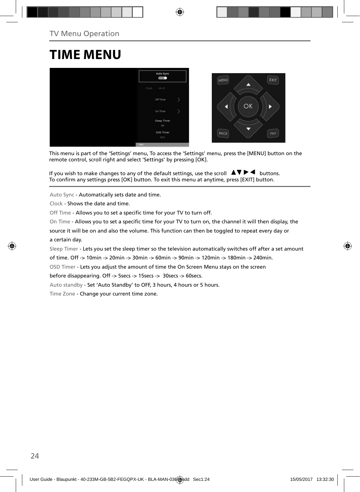## **TIME MENU**



This menu is part of the 'Settings' menu, To access the 'Settings' menu, press the [MENU] button on the remote control, scroll right and select 'Settings' by pressing [OK].

If you wish to make changes to any of the default settings, use the scroll  $\blacktriangle \blacktriangledown \blacktriangleright \blacktriangleleft$  buttons. To confirm any settings press [OK] button. To exit this menu at anytime, press [EXIT] button.

Auto Sync - Automatically sets date and time.

Clock - Shows the date and time.

Off Time - Allows you to set a specific time for your TV to turn off.

On Time - Allows you to set a specific time for your TV to turn on, the channel it will then display, the

source it will be on and also the volume. This function can then be toggled to repeat every day or a certain day.

Sleep Timer - Lets you set the sleep timer so the television automatically switches off after a set amount

of time. Off -> 10min -> 20min -> 30min -> 60min -> 90min -> 120min -> 180min -> 240min.

OSD Timer - Lets you adjust the amount of time the On Screen Menu stays on the screen

before disappearing. Off -> 5secs -> 15secs -> 30secs -> 60secs.

Auto standby - Set 'Auto Standby' to OFF, 3 hours, 4 hours or 5 hours.

Time Zone - Change your current time zone.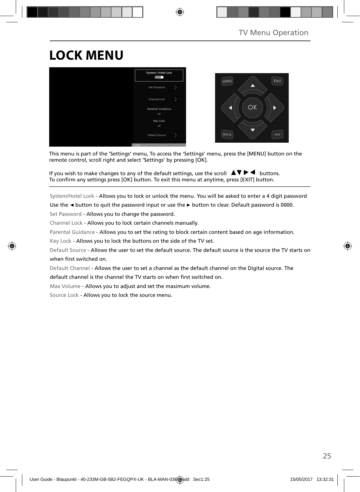# **LOCK MENU**



This menu is part of the 'Settings' menu, To access the 'Settings' menu, press the [MENU] button on the remote control, scroll right and select 'Settings' by pressing [OK].

If you wish to make changes to any of the default settings, use the scroll  $\Box \blacktriangledown \blacktriangleright \blacktriangleleft$  buttons. To confirm any settings press [OK] button. To exit this menu at anytime, press [EXIT] button.

System/Hotel Lock - Allows you to lock or unlock the menu. You will be asked to enter a 4 digit password

Use the **◄** button to quit the password input or use the **►** button to clear. Default password is 0000.

Set Password - Allows you to change the password.

Channel Lock - Allows you to lock certain channels manually.

Parental Guidance - Allows you to set the rating to block certain content based on age information.

Key Lock - Allows you to lock the buttons on the side of the TV set.

Default Source - Allows the user to set the default source. The default source is the source the TV starts on when first switched on.

Default Channel - Allows the user to set a channel as the default channel on the Digital source. The

default channel is the channel the TV starts on when first switched on.

Max Volume - Allows you to adjust and set the maximum volume.

Source Lock - Allows you to lock the source menu.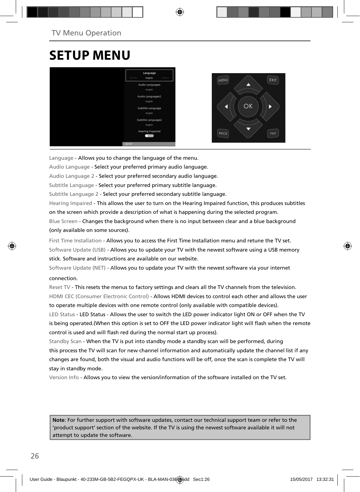## **SETUP MENU**



Language - Allows you to change the language of the menu.

Audio Language - Select your preferred primary audio language.

Audio Language 2 - Select your preferred secondary audio language.

Subtitle Language - Select your preferred primary subtitle language.

Subtitle Language 2 - Select your preferred secondary subtitle language.

Hearing Impaired - This allows the user to turn on the Hearing Impaired function, this produces subtitles on the screen which provide a description of what is happening during the selected program.

Blue Screen - Changes the background when there is no input between clear and a blue background (only available on some sources).

First Time Installation - Allows you to access the First Time Installation menu and retune the TV set. Software Update (USB) - Allows you to update your TV with the newest software using a USB memory stick. Software and instructions are available on our website.

Software Update (NET) - Allows you to update your TV with the newest software via your internet connection.

Reset TV - This resets the menus to factory settings and clears all the TV channels from the television. HDMI CEC (Consumer Electronic Control) - Allows HDMI devices to control each other and allows the user to operate multiple devices with one remote control (only available with compatible devices).

LED Status - LED Status - Allows the user to switch the LED power indicator light ON or OFF when the TV is being operated.(When this option is set to OFF the LED power indicator light will flash when the remote control is used and will flash red during the normal start up process).

Standby Scan - When the TV is put into standby mode a standby scan will be performed, during this process the TV will scan for new channel information and automatically update the channel list if any changes are found, both the visual and audio functions will be off, once the scan is complete the TV will stay in standby mode.

Version Info - Allows you to view the version/information of the software installed on the TV set.

**Note**: For further support with software updates, contact our technical support team or refer to the 'product support' section of the website. If the TV is using the newest software available it will not attempt to update the software.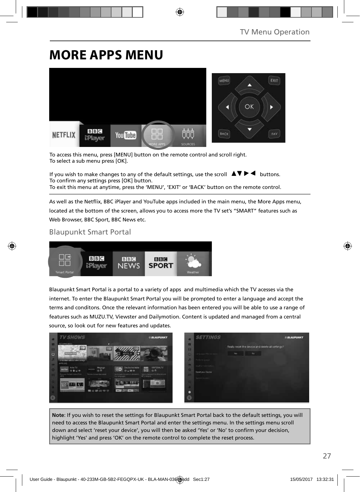## **MORE APPS MENU**



To access this menu, press [MENU] button on the remote control and scroll right. To select a sub menu press [OK].

If you wish to make changes to any of the default settings, use the scroll  $\blacktriangle \blacktriangledown \blacktriangleright \blacktriangleleft$  buttons. To confirm any settings press [OK] button. To exit this menu at anytime, press the 'MENU', 'EXIT' or 'BACK' button on the remote control.

As well as the Netflix, BBC iPlayer and YouTube apps included in the main menu, the More Apps menu, located at the bottom of the screen, allows you to access more the TV set's "SMART" features such as Web Browser, BBC Sport, BBC News etc.

### Blaupunkt Smart Portal



Blaupunkt Smart Portal is a portal to a variety of apps and multimedia which the TV acesses via the internet. To enter the Blaupunkt Smart Portal you will be prompted to enter a language and accept the terms and conditons. Once the relevant information has been entered you will be able to use a range of features such as MUZU.TV, Viewster and Dailymotion. Content is updated and managed from a central source, so look out for new features and updates.



**Note**: If you wish to reset the settings for Blaupunkt Smart Portal back to the default settings, you will need to access the Blaupunkt Smart Portal and enter the settings menu. In the settings menu scroll down and select 'reset your device', you will then be asked 'Yes' or 'No' to confirm your decision, highlight 'Yes' and press 'OK' on the remote control to complete the reset process.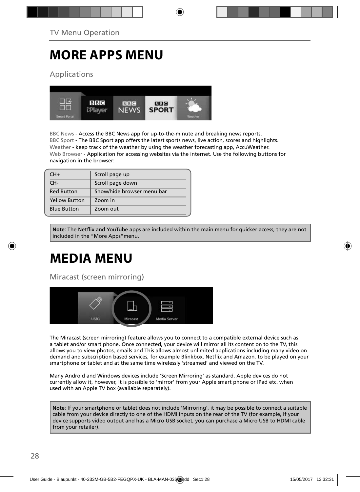## **MORE APPS MENU**

Applications



BBC News - Access the BBC News app for up-to-the-minute and breaking news reports. BBC Sport - The BBC Sport app offers the latest sports news, live action, scores and highlights. Weather - keep track of the weather by using the weather forecasting app, AccuWeather. Web Browser - Application for accessing websites via the internet. Use the following buttons for navigation in the browser:

| $CH+$                | Scroll page up             |
|----------------------|----------------------------|
| CH-                  | Scroll page down           |
| <b>Red Button</b>    | Show/hide browser menu bar |
| <b>Yellow Button</b> | Zoom in                    |
| <b>Blue Button</b>   | Zoom out                   |

Note: The Netflix and YouTube apps are included within the main menu for quicker access, they are not included in the "More Apps"menu.

# **MEDIA MENU**

Miracast (screen mirroring)



The Miracast (screen mirroring) feature allows you to connect to a compatible external device such as a tablet and/or smart phone. Once connected, your device will mirror all its content on to the TV, this allows you to view photos, emails and This allows almost unlimited applications including many video on demand and subscription based services, for example Blinkbox, Netflix and Amazon, to be played on your smartphone or tablet and at the same time wirelessly 'streamed' and viewed on the TV.

Many Android and Windows devices include 'Screen Mirroring' as standard. Apple devices do not currently allow it, however, it is possible to 'mirror' from your Apple smart phone or IPad etc. when used with an Apple TV box (available separately).

**Note**: If your smartphone or tablet does not include 'Mirroring', it may be possible to connect a suitable cable from your device directly to one of the HDMI inputs on the rear of the TV (for example, if your device supports video output and has a Micro USB socket, you can purchase a Micro USB to HDMI cable from your retailer).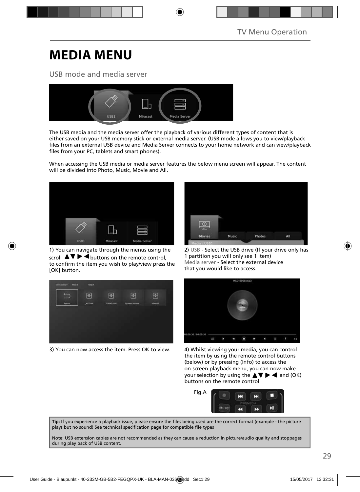# **MEDIA MENU**

### USB mode and media server



The USB media and the media server offer the playback of various different types of content that is either saved on your USB memory stick or external media server. (USB mode allows you to view/playback files from an external USB device and Media Server connects to your home network and can view/playback files from your PC, tablets and smart phones).

When accessing the USB media or media server features the below menu screen will appear. The content will be divided into Photo, Music, Movie and All.



1) You can navigate through the menus using the scroll  $\triangle \triangledown \triangleright \triangleleft$  buttons on the remote control, to confirm the item you wish to play/view press the [OK] button.



3) You can now access the item. Press OK to view. 4) Whilst viewing your media, you can control



2) USB - Select the USB drive (If your drive only has 1 partition you will only see 1 item) Media server - Select the external device that you would like to access.



the item by using the remote control buttons (below) or by pressing (Info) to access the on-screen playback menu, you can now make your selection by using the  $\blacktriangle \blacktriangledown \blacktriangleright \blacktriangleleft$  and (OK) buttons on the remote control.



Tip: If you experience a playback issue, please ensure the files being used are the correct format (example - the picture plays but no sound) See technical specification page for compatible file types

Note: USB extension cables are not recommended as they can cause a reduction in picture/audio quality and stoppages during play back of USB content.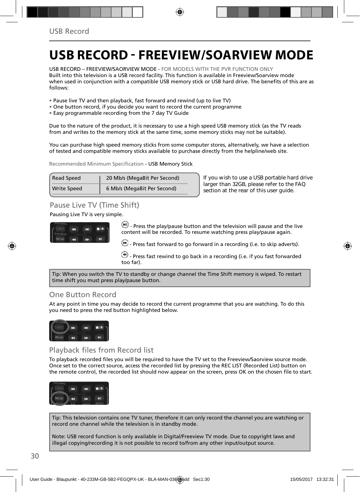# **USB RECORD - FREEVIEW/SOARVIEW MODE**

USB RECORD – FREEVIEW/SAORVIEW MODE - FOR MODELS WITH THE PVR FUNCTION ONLY Built into this television is a USB record facility. This function is available in Freeview/Soarview mode when used in conjunction with a compatible USB memory stick or USB hard drive. The benefits of this are as follows:

- Pause live TV and then playback, fast forward and rewind (up to live TV)
- One button record, if you decide you want to record the current programme
- Easy programmable recording from the 7 day TV Guide

Due to the nature of the product, it is necessary to use a high speed USB memory stick (as the TV reads from and writes to the memory stick at the same time, some memory sticks may not be suitable).

You can purchase high speed memory sticks from some computer stores, alternatively, we have a selection of tested and compatible memory sticks available to purchase directly from the helpline/web site.

Recommended Minimum Specification - USB Memory Stick

| <b>Read Speed</b>  | 20 Mb/s (MegaBit Per Second) |  |
|--------------------|------------------------------|--|
| <b>Write Speed</b> | 6 Mb/s (MegaBit Per Second)  |  |

**If you wish to use a USB portable hard drive larger than 32GB, please refer to the FAQ section at the rear of this user guide.**

## Pause Live TV (Time Shift)

Pausing Live TV is very simple.



 $\left(\blacksquare\right)$  - Press the play/pause button and the television will pause and the live content will be recorded. To resume watching press play/pause again.

 $\bigcirc$  - Press fast forward to go forward in a recording (i.e. to skip adverts).

 $\bigcirc$  - Press fast rewind to go back in a recording (i.e. if you fast forwarded too far).

Tip: When you switch the TV to standby or change channel the Time Shift memory is wiped. To restart time shift you must press play/pause button.

### One Button Record

At any point in time you may decide to record the current programme that you are watching. To do this you need to press the red button highlighted below.



### Playback files from Record list

To playback recorded files you will be required to have the TV set to the Freeview/Saorview source mode. Once set to the correct source, access the recorded list by pressing the REC LIST (Recorded List) button on the remote control, the recorded list should now appear on the screen, press OK on the chosen file to start.



Tip: This television contains one TV tuner, therefore it can only record the channel you are watching or record one channel while the television is in standby mode.

Note: USB record function is only available in Digital/Freeview TV mode. Due to copyright laws and illegal copying/recording it is not possible to record to/from any other input/output source.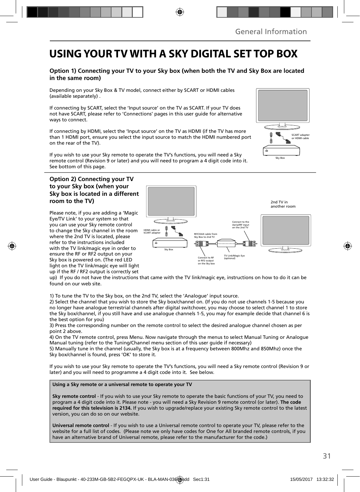## **USING YOUR TV WITH A SKY DIGITAL SET TOP BOX**

### **Option 1) Connecting your TV to your Sky box (when both the TV and Sky Box are located in the same room)**

Depending on your Sky Box & TV model, connect either by SCART or HDMI cables (available separately) .

If connecting by SCART, select the 'Input source' on the TV as SCART. If your TV does not have SCART, please refer to 'Connections' pages in this user guide for alternative ways to connect.

If connecting by HDMI, select the 'Input source' on the TV as HDMI (if the TV has more than 1 HDMI port, ensure you select the input source to match the HDMI numbered port on the rear of the TV).

If you wish to use your Sky remote to operate the TV's functions, you will need a Sky remote control (Revision 9 or later) and you will need to program a 4 digit code into it. See bottom of this page.

### **Option 2) Connecting your TV to your Sky box (when your Sky box is located in a different room to the TV)**

Please note, if you are adding a 'Magic Eye/TV Link' to your system so that you can use your Sky remote control to change the Sky channel in the room where the 2nd TV is located, please refer to the instructions included with the TV link/magic eye in order to ensure the RF or RF2 output on your Sky box is powered on. (The red LED light on the TV link/magic eye will light up if the RF / RF2 output is correctly set



up) If you do not have the instructions that came with the TV link/magic eye, instructions on how to do it can be found on our web site.

1) To tune the TV to the Sky box, on the 2nd TV, select the 'Analogue' input source.

2) Select the channel that you wish to store the Sky box/channel on. (If you do not use channels 1-5 because you no longer have analogue terrestrial channels after digital switchover, you may choose to select channel 1 to store the Sky box/channel, if you still have and use analogue channels 1-5, you may for example decide that channel 6 is the best option for you)

3) Press the corresponding number on the remote control to select the desired analogue channel chosen as per point 2 above.

4) On the TV remote control, press Menu. Now navigate through the menus to select Manual Tuning or Analogue Manual tuning (refer to the Tuning/Channel menu section of this user guide if necessary)

5) Manually tune in the channel (usually, the Sky box is at a frequency between 800Mhz and 850Mhz) once the Sky box/channel is found, press 'OK' to store it.

If you wish to use your Sky remote to operate the TV's functions, you will need a Sky remote control (Revision 9 or later) and you will need to programme a 4 digit code into it. See below.

**Using a Sky remote or a universal remote to operate your TV** 

**Sky remote control** - If you wish to use your Sky remote to operate the basic functions of your TV, you need to program a 4 digit code into it. Please note - you will need a Sky Revision 9 remote control (or later). **The code required for this television is 2134.** If you wish to upgrade/replace your existing Sky remote control to the latest version, you can do so on our website.

**Universal remote control** - If you wish to use a Universal remote control to operate your TV, please refer to the website for a full list of codes. (Please note we only have codes for One for All branded remote controls, if you have an alternative brand of Universal remote, please refer to the manufacturer for the code.)

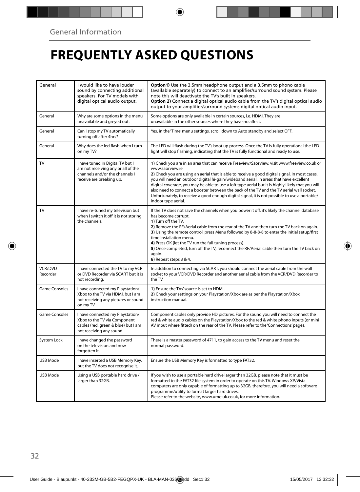# **FREQUENTLY ASKED QUESTIONS**

| General                    | I would like to have louder<br>sound by connecting additional<br>speakers. For TV models with<br>digital optical audio output.       | Option1) Use the 3.5mm headphone output and a 3.5mm to phono cable<br>(available separately) to connect to an amplifier/surround sound system. Please<br>note this will deactivate the TV's built in speakers.<br>Option 2) Connect a digital optical audio cable from the TV's digital optical audio<br>output to your amplifier/surround systems digital optical audio input.                                                                                                                                                                                                                                                     |
|----------------------------|--------------------------------------------------------------------------------------------------------------------------------------|-------------------------------------------------------------------------------------------------------------------------------------------------------------------------------------------------------------------------------------------------------------------------------------------------------------------------------------------------------------------------------------------------------------------------------------------------------------------------------------------------------------------------------------------------------------------------------------------------------------------------------------|
| General                    | Why are some options in the menu<br>unavailable and greyed out.                                                                      | Some options are only available in certain sources, i.e. HDMI. They are<br>unavailable in the other sources where they have no affect.                                                                                                                                                                                                                                                                                                                                                                                                                                                                                              |
| General                    | Can I stop my TV automatically<br>turning off after 4hrs?                                                                            | Yes, in the 'Time' menu settings, scroll down to Auto standby and select OFF.                                                                                                                                                                                                                                                                                                                                                                                                                                                                                                                                                       |
| General                    | Why does the led flash when I turn<br>on my TV?                                                                                      | The LED will flash during the TV's boot up process. Once the TV is fully operational the LED<br>light will stop flashing, indicating that the TV is fully functional and ready to use.                                                                                                                                                                                                                                                                                                                                                                                                                                              |
| TV                         | I have tuned in Digital TV but I<br>am not receiving any or all of the<br>channels and/or the channels I<br>receive are breaking up. | 1) Check you are in an area that can receive Freeview/Saorview, visit www.freeview.co.uk or<br>www.saorview.ie<br>2) Check you are using an aerial that is able to receive a good digital signal. In most cases,<br>you will need an outdoor digital hi-gain/wideband aerial. In areas that have excellent<br>digital coverage, you may be able to use a loft type aerial but it is highly likely that you will<br>also need to connect a booster between the back of the TV and the TV aerial wall socket.<br>Unfortunately, to receive a good enough digital signal, it is not possible to use a portable/<br>indoor type aerial. |
| TV                         | I have re-tuned my television but<br>when I switch it off it is not storing<br>the channels.                                         | If the TV does not save the channels when you power it off, it's likely the channel database<br>has become corrupt.<br>1) Turn off the TV.<br>2) Remove the RF/Aerial cable from the rear of the TV and then turn the TV back on again.<br>3) Using the remote control, press Menu followed by 8-8-8-8 to enter the initial setup/first<br>time installation menu.<br>4) Press OK (let the TV run the full tuning process).<br>5) Once completed, turn off the TV, reconnect the RF/Aerial cable then turn the TV back on<br>again.<br>6) Repeat steps 3 & 4.                                                                       |
| <b>VCR/DVD</b><br>Recorder | I have connected the TV to my VCR<br>or DVD Recorder via SCART but it is<br>not recording.                                           | In addition to connecting via SCART, you should connect the aerial cable from the wall<br>socket to your VCR/DVD Recorder and another aerial cable from the VCR/DVD Recorder to<br>the TV.                                                                                                                                                                                                                                                                                                                                                                                                                                          |
| <b>Game Consoles</b>       | I have connected my Playstation/<br>Xbox to the TV via HDMI, but I am<br>not receiving any pictures or sound<br>on my TV             | 1) Ensure the TVs' source is set to HDMI.<br>2) Check your settings on your Playstation/Xbox are as per the Playstation/Xbox<br>instruction manual.                                                                                                                                                                                                                                                                                                                                                                                                                                                                                 |
| <b>Game Consoles</b>       | I have connected my Playstation/<br>Xbox to the TV via Component<br>cables (red, green & blue) but I am<br>not receiving any sound.  | Component cables only provide HD pictures. For the sound you will need to connect the<br>red & white audio cables on the Playstation/Xbox to the red & white phono inputs (or mini<br>AV input where fitted) on the rear of the TV. Please refer to the 'Connections' pages.                                                                                                                                                                                                                                                                                                                                                        |
| System Lock                | I have changed the password<br>on the television and now<br>forgotten it.                                                            | There is a master password of 4711, to gain access to the TV menu and reset the<br>normal password.                                                                                                                                                                                                                                                                                                                                                                                                                                                                                                                                 |
| USB Mode                   | I have inserted a USB Memory Key,<br>but the TV does not recognise it.                                                               | Ensure the USB Memory Key is formatted to type FAT32.                                                                                                                                                                                                                                                                                                                                                                                                                                                                                                                                                                               |
| USB Mode                   | Using a USB portable hard drive /<br>larger than 32GB.                                                                               | If you wish to use a portable hard drive larger than 32GB, please note that it must be<br>formatted to the FAT32 file system in order to operate on this TV. Windows XP/Vista<br>computers are only capable of formatting up to 32GB, therefore, you will need a software<br>programme/utility to format larger hard drives.<br>Please refer to the website, www.umc-uk.co.uk, for more information.                                                                                                                                                                                                                                |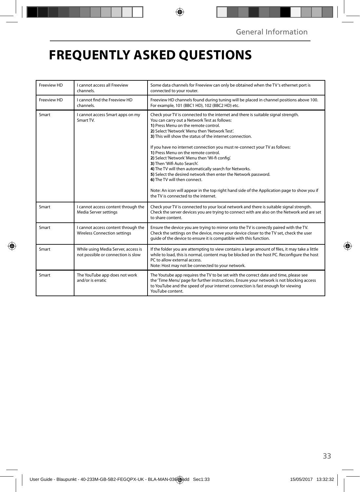# **FREQUENTLY ASKED QUESTIONS**

| Freeview HD | I cannot access all Freeview<br>channels.                                  | Some data channels for Freeview can only be obtained when the TV's ethernet port is<br>connected to your router.                                                                                                                                                                                                                                                                                                                                                                                                                                                                                                                                                                                                                                                                                |  |  |
|-------------|----------------------------------------------------------------------------|-------------------------------------------------------------------------------------------------------------------------------------------------------------------------------------------------------------------------------------------------------------------------------------------------------------------------------------------------------------------------------------------------------------------------------------------------------------------------------------------------------------------------------------------------------------------------------------------------------------------------------------------------------------------------------------------------------------------------------------------------------------------------------------------------|--|--|
| Freeview HD | I cannot find the Freeview HD<br>channels.                                 | Freeview HD channels found during tuning will be placed in channel positions above 100.<br>For example, 101 (BBC1 HD), 102 (BBC2 HD) etc.                                                                                                                                                                                                                                                                                                                                                                                                                                                                                                                                                                                                                                                       |  |  |
| Smart       | I cannot access Smart apps on my<br>Smart TV.                              | Check your TV is connected to the internet and there is suitable signal strength.<br>You can carry out a Network Test as follows:<br>1) Press Menu on the remote control.<br>2) Select 'Network' Menu then 'Network Test'.<br>3) This will show the status of the internet connection.<br>If you have no internet connection you must re-connect your TV as follows:<br>1) Press Menu on the remote control.<br>2) Select 'Network' Menu then 'Wi-fi config'.<br>3) Then 'Wifi Auto Search'.<br>4) The TV will then automatically search for Networks.<br>5) Select the desired network then enter the Network password.<br>6) The TV will then connect.<br>Note: An icon will appear in the top right hand side of the Application page to show you if<br>the TV is connected to the internet. |  |  |
| Smart       | I cannot access content through the<br>Media Server settings               | Check your TV is connected to your local network and there is suitable signal strength.<br>Check the server devices you are trying to connect with are also on the Network and are set<br>to share content.                                                                                                                                                                                                                                                                                                                                                                                                                                                                                                                                                                                     |  |  |
| Smart       | I cannot access content through the<br><b>Wireless Connection settings</b> | Ensure the device you are trying to mirror onto the TV is correctly paired with the TV.<br>Check the settings on the device, move your device closer to the TV set, check the user<br>quide of the device to ensure it is compatible with this function.                                                                                                                                                                                                                                                                                                                                                                                                                                                                                                                                        |  |  |
| Smart       | While using Media Server, access is<br>not possible or connection is slow  | If the folder you are attempting to view contains a large amount of files, it may take a little<br>while to load, this is normal, content may be blocked on the host PC. Reconfigure the host<br>PC to allow external access.<br>Note: Host may not be connected to your network.                                                                                                                                                                                                                                                                                                                                                                                                                                                                                                               |  |  |
| Smart       | The YouTube app does not work<br>and/or is erratic                         | The Youtube app requires the TV to be set with the correct date and time, please see<br>the 'Time Menu' page for further instructions. Ensure your network is not blocking access<br>to YouTube and the speed of your internet connection is fast enough for viewing<br>YouTube content.                                                                                                                                                                                                                                                                                                                                                                                                                                                                                                        |  |  |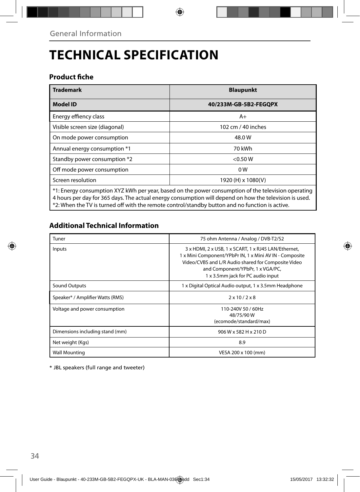# **TECHNICAL SPECIFICATION**

### **Product fiche**

| <b>Trademark</b>               | <b>Blaupunkt</b>                                                                                      |  |  |
|--------------------------------|-------------------------------------------------------------------------------------------------------|--|--|
| <b>Model ID</b>                | 40/233M-GB-5B2-FEGOPX                                                                                 |  |  |
| Energy effiency class          | $A+$                                                                                                  |  |  |
| Visible screen size (diagonal) | 102 cm / 40 inches                                                                                    |  |  |
| On mode power consumption      | 48.0W                                                                                                 |  |  |
| Annual energy consumption *1   | 70 kWh                                                                                                |  |  |
| Standby power consumption *2   | $<$ 0.50 W                                                                                            |  |  |
| Off mode power consumption     | 0 <sub>W</sub>                                                                                        |  |  |
| Screen resolution              | 1920 (H) x 1080(V)                                                                                    |  |  |
|                                | $*1$ : Energy consumption XYZ kWh per year based on the power consumption of the television operating |  |  |

\*1: Energy consumption XYZ kWh per year, based on the power consumption of the television operating 4 hours per day for 365 days. The actual energy consumption will depend on how the television is used. \*2: When the TV is turned off with the remote control/standby button and no function is active.

## **Additional Technical Information**

| Tuner                            | 75 ohm Antenna / Analog / DVB-T2/S2                                                                                                                                                                                                             |
|----------------------------------|-------------------------------------------------------------------------------------------------------------------------------------------------------------------------------------------------------------------------------------------------|
| Inputs                           | 3 x HDMI, 2 x USB, 1 x SCART, 1 x RJ45 LAN/Ethernet,<br>1 x Mini Component/YPbPr IN, 1 x Mini AV IN - Composite<br>Video/CVBS and L/R Audio shared for Composite Video<br>and Component/YPbPr, 1 x VGA/PC,<br>1 x 3.5mm jack for PC audio input |
| <b>Sound Outputs</b>             | 1 x Digital Optical Audio output, 1 x 3.5mm Headphone                                                                                                                                                                                           |
| Speaker* / Amplifier Watts (RMS) | $2 \times 10 / 2 \times 8$                                                                                                                                                                                                                      |
| Voltage and power consumption    | 110-240V 50 / 60Hz<br>48/75/90W<br>(ecomode/standard/max)                                                                                                                                                                                       |
| Dimensions including stand (mm)  | 906 W x 582 H x 210 D                                                                                                                                                                                                                           |
| Net weight (Kgs)                 | 8.9                                                                                                                                                                                                                                             |
| <b>Wall Mounting</b>             | VESA 200 x 100 (mm)                                                                                                                                                                                                                             |

\* JBL speakers (full range and tweeter)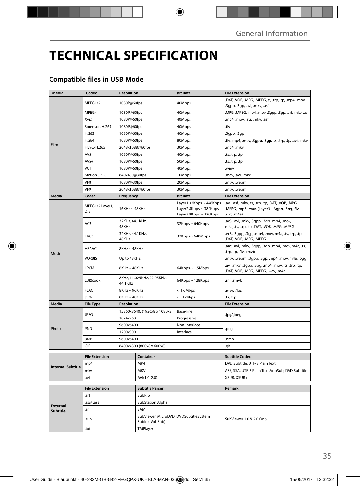# **TECHNICAL SPECIFICATION**

### **Compatible files in USB Mode**

| Media                              | Codec                              | <b>Resolution</b>                     |                                                                   | <b>Bit Rate</b>                                                             | <b>File Extension</b>                                                                                                 |
|------------------------------------|------------------------------------|---------------------------------------|-------------------------------------------------------------------|-----------------------------------------------------------------------------|-----------------------------------------------------------------------------------------------------------------------|
|                                    | MPEG1/2                            | 1080P@60fps                           |                                                                   | 40Mbps                                                                      | .DAT, .VOB, .MPG, .MPEG,.ts, .trp, .tp, .mp4, .mov,<br>.3gpp, .3gp, .avi, .mkv, .asf                                  |
|                                    | MPEG4                              | 1080P@60fps                           |                                                                   | 40Mbps                                                                      | .MPG, .MPEG, .mp4, .mov, .3gpp, .3gp, .avi, .mkv, .asf                                                                |
|                                    | XviD                               | 1080P@60fps                           |                                                                   | 40Mbps                                                                      | .mp4, .mov, .avi, .mkv, .asf                                                                                          |
|                                    | Sorenson H.263                     | 1080P@60fps                           |                                                                   | 40Mbps                                                                      | .flv                                                                                                                  |
|                                    | H.263                              | 1080P@60fps                           |                                                                   | 40Mbps                                                                      | .3gpp, .3gp                                                                                                           |
|                                    | H.264                              | 1080P@60fps                           |                                                                   | 80Mbps                                                                      | .flv, .mp4, .mov, .3gpp, .3gp, .ts, .trp, .tp, .avi, .mkv                                                             |
| Film                               | <b>HEVC/H.265</b>                  | 2048x1088@60fps                       |                                                                   | 30Mbps                                                                      | .mp4, .mkv                                                                                                            |
|                                    | AVS                                | 1080P@60fps                           |                                                                   | 40Mbps                                                                      | .ts, .trp, .tp                                                                                                        |
|                                    | $AVS+$                             | 1080P@60fps                           |                                                                   | 50Mbps                                                                      | .ts, .trp, .tp                                                                                                        |
|                                    | VC1                                | 1080P@60fps                           |                                                                   | 40Mbps                                                                      | .wmv                                                                                                                  |
|                                    | Motion JPEG                        | 640x480@30fps                         |                                                                   | 10Mbps                                                                      | .mov, .avi, .mkv                                                                                                      |
|                                    | VP <sub>8</sub>                    | 1080P@30fps                           |                                                                   | 20Mbps                                                                      | .mkv. .webm                                                                                                           |
|                                    | VP <sub>9</sub>                    | 2048x1088@60fps                       |                                                                   | 30Mbps                                                                      | .mkv, .webm                                                                                                           |
| <b>Media</b>                       | Codec                              | Frequency                             |                                                                   | <b>Bit Rate</b>                                                             | <b>File Extension</b>                                                                                                 |
| Music                              | MPEG1/2 Layer1,<br>2, 3            | $16KHz \sim 48KHz$                    |                                                                   | Layer1 32Kbps ~ 448Kbps<br>Layer2 8Kbps ~ 384Kbps<br>Layer3 8Kbps ~ 320Kbps | .avi, .asf, .mkv, .ts, .trp, .tp, .DAT, .VOB, .MPG,<br>.MPEG, .mp3, .wav, (Layer3 - .3gpp, .3pg, .flv,<br>.swf, .m4a) |
|                                    | AC3                                | 32KHz, 44.1KHz,<br>48KHz              |                                                                   | 32Kbps~640Kbps                                                              | .ac3, .avi, .mkv, .3gpp, .3gp, .mp4, .mov,<br>m4a, .ts, .trp, .tp, .DAT, .VOB, .MPG, .MPEG                            |
|                                    | EAC3                               | 32KHz, 44.1KHz,<br>48KHz              |                                                                   | 32Kbps~640Mbps                                                              | .ec3, .3gpp, .3gp, .mp4, .mov, m4a, .ts, .trp, .tp,<br>.DAT, .VOB, .MPG, .MPEG                                        |
|                                    | <b>HEAAC</b>                       | $8KHz \sim 48KHz$                     |                                                                   |                                                                             | .aac, .avi, .mkv, .3gpp, .3gp, .mp4, .mov, m4a, .ts,<br>.trp, .tp, .flv, .rmvb                                        |
|                                    | <b>VORBIS</b>                      | Up to 48KHz                           |                                                                   |                                                                             | .mkv, .webm, .3gpp, .3gp, .mp4, .mov, m4a, .ogg                                                                       |
|                                    | <b>LPCM</b>                        | $8KHz \sim 48KHz$                     |                                                                   | 64Kbps ~ 1.5Mbps                                                            | .avi, .mkv, .3gpp, .3pg, .mp4, .mov, .ts, .trp, .tp,<br>.DAT, .VOB, .MPG, .MPEG, .wav, .m4a                           |
|                                    | LBR(cook)                          | 8KHz, 11.025KHz, 22.05KHz,<br>44.1KHz |                                                                   | 64Kbps ~ 128Kbps                                                            | .rm, .rmvb                                                                                                            |
|                                    | <b>FLAC</b>                        | 8KHz~96KHz                            |                                                                   | < 1.6Mbps                                                                   | .mkv, .flac                                                                                                           |
|                                    | <b>DRA</b><br>$8KHz \sim 48KHz$    |                                       |                                                                   | < 512Kbps                                                                   | ts, trp.                                                                                                              |
| Media                              | <b>File Type</b>                   | <b>Resolution</b>                     |                                                                   |                                                                             | <b>File Extension</b>                                                                                                 |
|                                    | <b>JPEG</b>                        | 15360x8640, (1920x8 x 1080x8)         |                                                                   | Base-line                                                                   | .jpg/.jpeg                                                                                                            |
|                                    |                                    | 1024x768                              |                                                                   | Progressive                                                                 |                                                                                                                       |
| Photo                              | PNG                                | 9600x6400                             |                                                                   | Non-interlace                                                               | .png                                                                                                                  |
|                                    |                                    | 1200x800                              |                                                                   | Interlace                                                                   |                                                                                                                       |
|                                    | <b>BMP</b>                         | 9600x6400                             |                                                                   |                                                                             | .bmp                                                                                                                  |
|                                    | GIF                                | 6400x4800 (800x8 x 600x8)             |                                                                   |                                                                             | .gif                                                                                                                  |
|                                    | <b>File Extension</b><br>Container |                                       |                                                                   | <b>Subtitle Codec</b>                                                       |                                                                                                                       |
|                                    | mp4                                |                                       | MP4                                                               |                                                                             | DVD Subtitle, UTF-8 Plain Text                                                                                        |
| <b>Internal Subtitle</b>           | mkv                                |                                       | <b>MKV</b>                                                        |                                                                             | ASS, SSA, UTF-8 Plain Text, VobSub, DVD Subtitle                                                                      |
|                                    | avi                                |                                       | AVI(1.0, 2.0)                                                     |                                                                             | XSUB, XSUB+                                                                                                           |
|                                    |                                    |                                       |                                                                   |                                                                             |                                                                                                                       |
| <b>External</b><br><b>Subtitle</b> | <b>File Extension</b>              |                                       | <b>Subtitle Parser</b>                                            |                                                                             | Remark                                                                                                                |
|                                    | .srt                               |                                       | SubRip                                                            |                                                                             |                                                                                                                       |
|                                    | .ssa/ .ass                         |                                       | SubStation Alpha                                                  |                                                                             |                                                                                                                       |
|                                    | .smi<br>.sub                       |                                       | SAMI<br>SubViewer, MicroDVD, DVDSubtitleSystem,<br>Subldx(VobSub) |                                                                             | SubViewer 1.0 & 2.0 Only                                                                                              |
|                                    | .txt                               |                                       | <b>TMPlaver</b>                                                   |                                                                             |                                                                                                                       |